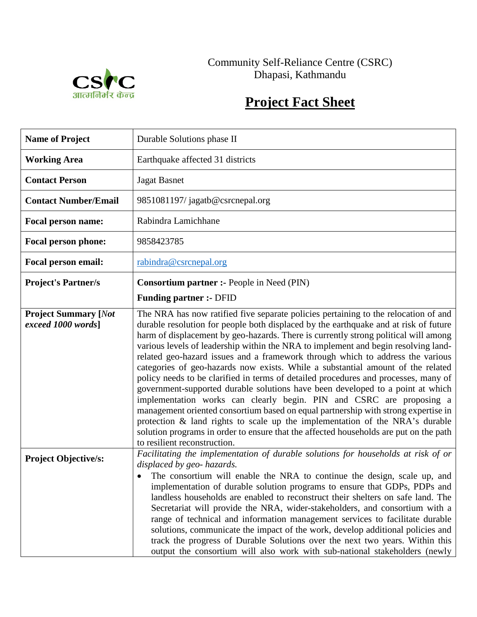

## Community Self-Reliance Centre (CSRC) Dhapasi, Kathmandu

## **Project Fact Sheet**

| <b>Name of Project</b>                            | Durable Solutions phase II                                                                                                                                                                                                                                                                                                                                                                                                                                                                                                                                                                                                                                                                                                                                                                                                                                                                                                                                                                                                                                                    |  |
|---------------------------------------------------|-------------------------------------------------------------------------------------------------------------------------------------------------------------------------------------------------------------------------------------------------------------------------------------------------------------------------------------------------------------------------------------------------------------------------------------------------------------------------------------------------------------------------------------------------------------------------------------------------------------------------------------------------------------------------------------------------------------------------------------------------------------------------------------------------------------------------------------------------------------------------------------------------------------------------------------------------------------------------------------------------------------------------------------------------------------------------------|--|
| <b>Working Area</b>                               | Earthquake affected 31 districts                                                                                                                                                                                                                                                                                                                                                                                                                                                                                                                                                                                                                                                                                                                                                                                                                                                                                                                                                                                                                                              |  |
| <b>Contact Person</b>                             | <b>Jagat Basnet</b>                                                                                                                                                                                                                                                                                                                                                                                                                                                                                                                                                                                                                                                                                                                                                                                                                                                                                                                                                                                                                                                           |  |
| <b>Contact Number/Email</b>                       | 9851081197/jagatb@csrcnepal.org                                                                                                                                                                                                                                                                                                                                                                                                                                                                                                                                                                                                                                                                                                                                                                                                                                                                                                                                                                                                                                               |  |
| <b>Focal person name:</b>                         | Rabindra Lamichhane                                                                                                                                                                                                                                                                                                                                                                                                                                                                                                                                                                                                                                                                                                                                                                                                                                                                                                                                                                                                                                                           |  |
| <b>Focal person phone:</b>                        | 9858423785                                                                                                                                                                                                                                                                                                                                                                                                                                                                                                                                                                                                                                                                                                                                                                                                                                                                                                                                                                                                                                                                    |  |
| Focal person email:                               | rabindra@csrcnepal.org                                                                                                                                                                                                                                                                                                                                                                                                                                                                                                                                                                                                                                                                                                                                                                                                                                                                                                                                                                                                                                                        |  |
| <b>Project's Partner/s</b>                        | <b>Consortium partner :- People in Need (PIN)</b>                                                                                                                                                                                                                                                                                                                                                                                                                                                                                                                                                                                                                                                                                                                                                                                                                                                                                                                                                                                                                             |  |
|                                                   | <b>Funding partner :- DFID</b>                                                                                                                                                                                                                                                                                                                                                                                                                                                                                                                                                                                                                                                                                                                                                                                                                                                                                                                                                                                                                                                |  |
| <b>Project Summary [Not</b><br>exceed 1000 words] | The NRA has now ratified five separate policies pertaining to the relocation of and<br>durable resolution for people both displaced by the earthquake and at risk of future<br>harm of displacement by geo-hazards. There is currently strong political will among<br>various levels of leadership within the NRA to implement and begin resolving land-<br>related geo-hazard issues and a framework through which to address the various<br>categories of geo-hazards now exists. While a substantial amount of the related<br>policy needs to be clarified in terms of detailed procedures and processes, many of<br>government-supported durable solutions have been developed to a point at which<br>implementation works can clearly begin. PIN and CSRC are proposing a<br>management oriented consortium based on equal partnership with strong expertise in<br>protection & land rights to scale up the implementation of the NRA's durable<br>solution programs in order to ensure that the affected households are put on the path<br>to resilient reconstruction. |  |
| <b>Project Objective/s:</b>                       | Facilitating the implementation of durable solutions for households at risk of or<br>displaced by geo- hazards.<br>The consortium will enable the NRA to continue the design, scale up, and<br>implementation of durable solution programs to ensure that GDPs, PDPs and<br>landless households are enabled to reconstruct their shelters on safe land. The<br>Secretariat will provide the NRA, wider-stakeholders, and consortium with a<br>range of technical and information management services to facilitate durable<br>solutions, communicate the impact of the work, develop additional policies and<br>track the progress of Durable Solutions over the next two years. Within this<br>output the consortium will also work with sub-national stakeholders (newly                                                                                                                                                                                                                                                                                                    |  |